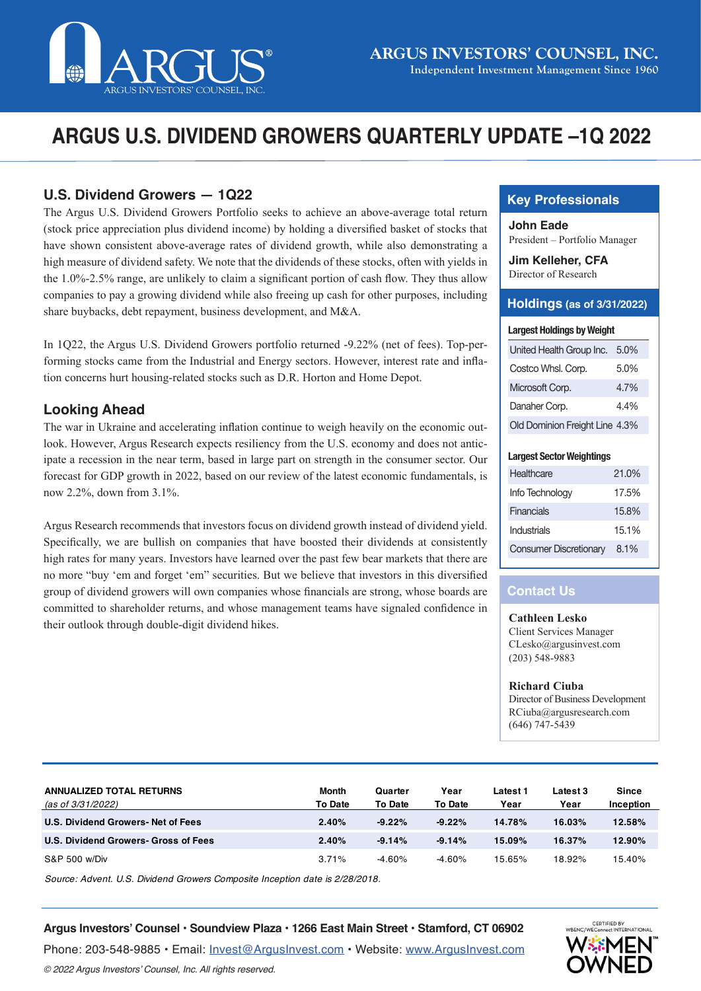

# **ARGUS U.S. DIVIDEND GROWERS QUARTERLY UPDATE –1Q 2022**

# **U.S. Dividend Growers — 1Q22**

The Argus U.S. Dividend Growers Portfolio seeks to achieve an above-average total return (stock price appreciation plus dividend income) by holding a diversified basket of stocks that have shown consistent above-average rates of dividend growth, while also demonstrating a high measure of dividend safety. We note that the dividends of these stocks, often with yields in the 1.0%-2.5% range, are unlikely to claim a significant portion of cash flow. They thus allow companies to pay a growing dividend while also freeing up cash for other purposes, including share buybacks, debt repayment, business development, and M&A.

In 1Q22, the Argus U.S. Dividend Growers portfolio returned -9.22% (net of fees). Top-performing stocks came from the Industrial and Energy sectors. However, interest rate and inflation concerns hurt housing-related stocks such as D.R. Horton and Home Depot.

## **Looking Ahead**

The war in Ukraine and accelerating inflation continue to weigh heavily on the economic outlook. However, Argus Research expects resiliency from the U.S. economy and does not anticipate a recession in the near term, based in large part on strength in the consumer sector. Our forecast for GDP growth in 2022, based on our review of the latest economic fundamentals, is now 2.2%, down from 3.1%.

Argus Research recommends that investors focus on dividend growth instead of dividend yield. Specifically, we are bullish on companies that have boosted their dividends at consistently high rates for many years. Investors have learned over the past few bear markets that there are no more "buy 'em and forget 'em" securities. But we believe that investors in this diversified group of dividend growers will own companies whose financials are strong, whose boards are committed to shareholder returns, and whose management teams have signaled confidence in their outlook through double-digit dividend hikes.

# **Key Professionals**

**John Eade** President – Portfolio Manager

**Jim Kelleher, CFA** Director of Research

### **Holdings (as of 3/31/2022)**

#### **Largest Holdings by Weight**

| United Health Group Inc.       | 5.0% |
|--------------------------------|------|
| Costco Whsl. Corp.             | 5.0% |
| Microsoft Corp.                | 47%  |
| Danaher Corp.                  | 44%  |
| Old Dominion Freight Line 4.3% |      |

#### **Largest Sector Weightings**

| <b>Healthcare</b>             | 21.0%   |
|-------------------------------|---------|
| Info Technology               | 17.5%   |
| <b>Financials</b>             | 15.8%   |
| Industrials                   | 15.1%   |
| <b>Consumer Discretionary</b> | $8.1\%$ |

# **Contact Us**

#### **Cathleen Lesko**

Client Services Manager CLesko@argusinvest.com (203) 548-9883

**Richard Ciuba**

Director of Business Development RCiuba@argusresearch.com (646) 747-5439

| <b>ANNUALIZED TOTAL RETURNS</b><br>(as of 3/31/2022) | Month<br><b>To Date</b> | Quarter<br><b>To Date</b> | Year<br><b>To Date</b> | Latest 1<br>Year | Latest 3<br>Year | <b>Since</b><br>Inception |
|------------------------------------------------------|-------------------------|---------------------------|------------------------|------------------|------------------|---------------------------|
| U.S. Dividend Growers-Net of Fees                    | 2.40%                   | $-9.22%$                  | $-9.22%$               | 14.78%           | 16.03%           | 12.58%                    |
| U.S. Dividend Growers- Gross of Fees                 | 2.40%                   | $-9.14%$                  | $-9.14%$               | 15.09%           | 16.37%           | 12.90%                    |
| S&P 500 w/Div                                        | 3.71%                   | $-4.60%$                  | $-4.60%$               | 15.65%           | 18.92%           | 15.40%                    |

*Source: Advent. U.S. Dividend Growers Composite Inception date is 2/28/2018.* 

#### **Argus Investors' Counsel • Soundview Plaza • 1266 East Main Street • Stamford, CT 06902**

Phone: 203-548-9885 • Email: [Invest@ArgusInvest.com](mailto:?subject=) • Website: [www.ArgusInvest.com](http://www.ArgusInvest.com) © 2022 Argus Investors' Counsel, Inc. All rights reserved.